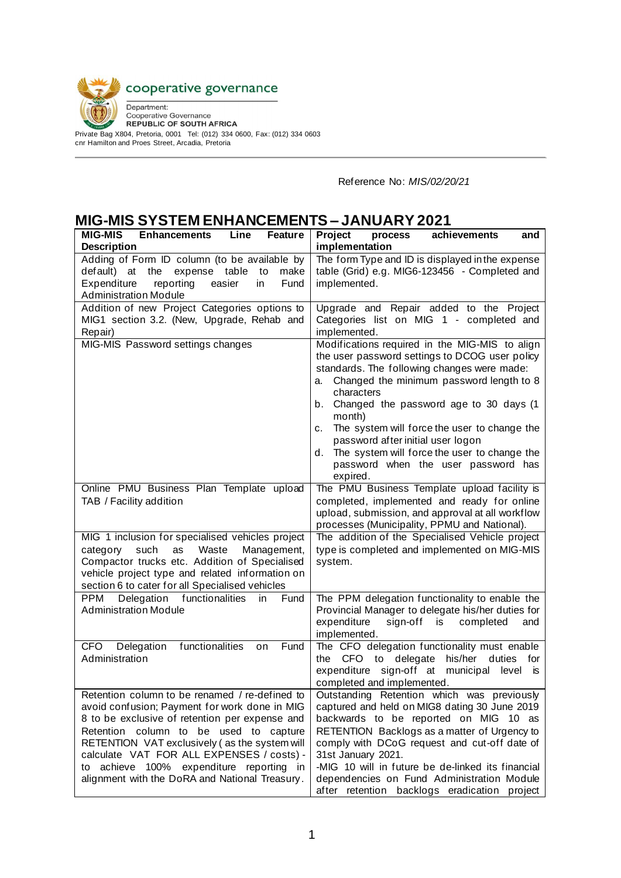

Private Bag X804, Pretoria, 0001 Tel: (012) 334 0600, Fax: (012) 334 0603 cnr Hamilton and Proes Street, Arcadia, Pretoria

Reference No: *MIS/02/20/21*

## **MIG-MIS SYSTEM ENHANCEMENTS – JANUARY 2021**

| <b>MIG-MIS</b><br><b>Enhancements</b><br>Line<br><b>Feature</b>                                                                                                                                                                                                                                                                                                                         | Project<br>achievements<br>process<br>and                                                                                                                                                                                                                                                                                                                                                                                                                                  |  |  |  |
|-----------------------------------------------------------------------------------------------------------------------------------------------------------------------------------------------------------------------------------------------------------------------------------------------------------------------------------------------------------------------------------------|----------------------------------------------------------------------------------------------------------------------------------------------------------------------------------------------------------------------------------------------------------------------------------------------------------------------------------------------------------------------------------------------------------------------------------------------------------------------------|--|--|--|
| <b>Description</b>                                                                                                                                                                                                                                                                                                                                                                      | implementation                                                                                                                                                                                                                                                                                                                                                                                                                                                             |  |  |  |
| Adding of Form ID column (to be available by<br>default) at the<br>expense table<br>to<br>make<br>Expenditure<br>reporting<br>easier<br>Fund<br>in<br><b>Administration Module</b>                                                                                                                                                                                                      | The form Type and ID is displayed in the expense<br>table (Grid) e.g. MIG6-123456 - Completed and<br>implemented.                                                                                                                                                                                                                                                                                                                                                          |  |  |  |
| Addition of new Project Categories options to<br>MIG1 section 3.2. (New, Upgrade, Rehab and<br>Repair)                                                                                                                                                                                                                                                                                  | Upgrade and Repair added to the Project<br>Categories list on MIG 1 - completed and<br>implemented.                                                                                                                                                                                                                                                                                                                                                                        |  |  |  |
| MIG-MIS Password settings changes                                                                                                                                                                                                                                                                                                                                                       | Modifications required in the MIG-MIS to align<br>the user password settings to DCOG user policy<br>standards. The following changes were made:<br>Changed the minimum password length to 8<br>а.<br>characters<br>b. Changed the password age to 30 days (1<br>month)<br>The system will force the user to change the<br>c.<br>password after initial user logon<br>The system will force the user to change the<br>d.<br>password when the user password has<br>expired. |  |  |  |
| Online PMU Business Plan Template upload<br>TAB / Facility addition                                                                                                                                                                                                                                                                                                                     | The PMU Business Template upload facility is<br>completed, implemented and ready for online<br>upload, submission, and approval at all workflow<br>processes (Municipality, PPMU and National).                                                                                                                                                                                                                                                                            |  |  |  |
| MIG 1 inclusion for specialised vehicles project<br>Waste<br>such<br>as<br>Management,<br>category<br>Compactor trucks etc. Addition of Specialised<br>vehicle project type and related information on<br>section 6 to cater for all Specialised vehicles                                                                                                                               | The addition of the Specialised Vehicle project<br>type is completed and implemented on MIG-MIS<br>system.                                                                                                                                                                                                                                                                                                                                                                 |  |  |  |
| <b>PPM</b><br>Delegation functionalities<br>in<br>Fund<br><b>Administration Module</b>                                                                                                                                                                                                                                                                                                  | The PPM delegation functionality to enable the<br>Provincial Manager to delegate his/her duties for<br>expenditure<br>sign-off<br>is is<br>completed<br>and<br>implemented.                                                                                                                                                                                                                                                                                                |  |  |  |
| functionalities<br><b>CFO</b><br>Delegation<br>Fund<br>on<br>Administration                                                                                                                                                                                                                                                                                                             | The CFO delegation functionality must enable<br>CFO to delegate his/her<br>duties<br>the<br>for<br>expenditure sign-off at municipal level<br><b>is</b><br>completed and implemented.                                                                                                                                                                                                                                                                                      |  |  |  |
| Retention column to be renamed / re-defined to<br>avoid confusion; Payment for work done in MIG<br>8 to be exclusive of retention per expense and<br>Retention column to be used to capture<br>RETENTION VAT exclusively (as the system will<br>calculate VAT FOR ALL EXPENSES / costs) -<br>to achieve 100% expenditure reporting in<br>alignment with the DoRA and National Treasury. | Outstanding Retention which was previously<br>captured and held on MIG8 dating 30 June 2019<br>backwards to be reported on MIG 10 as<br>RETENTION Backlogs as a matter of Urgency to<br>comply with DCoG request and cut-off date of<br>31st January 2021.<br>-MIG 10 will in future be de-linked its financial<br>dependencies on Fund Administration Module<br>after retention backlogs eradication<br>project                                                           |  |  |  |